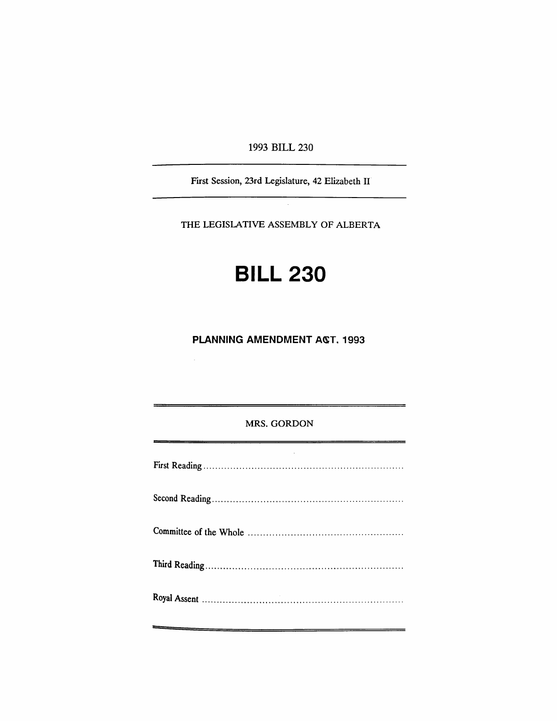1993 BILL 230

First Session, 23rd Legislature, 42 Elizabeth II

THE LEGISLATIVE ASSEMBLY OF ALBERTA

# **BILL 230**

**PLANNING AMENDMENT ACT. 1993** 

 $\mathcal{L}_{\mathcal{L}}$ 

### MRS. GORDON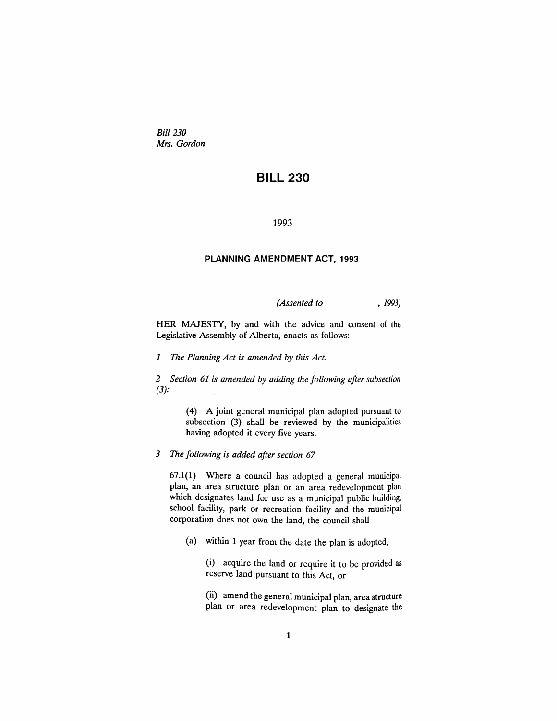*Bill 230 Mrs. Gordon*

## **BILL 230**

#### 1993

#### **PLANNING AMENDMENT ACT, 1993**

*(Assented to* , 1993)

HER MAJESTY, by and with the advice and consent of the Legislative Assembly of Alberta, enacts as follows:

*1 The Planning Act is amended by this Act.*

*2 Section* 61 *is amended by adding the following after subsection*  $(3):$ 

> (4) A joint general municipal plan adopted pursuant to subsection (3) shall be reviewed by the municipalities having adopted it every five years.

*3 The following is added after section 67*

67.1(1) Where a council has adopted a general municipal plan, an area structure plan or an area redevelopment plan which designates land for use as a municipal public building, school facility, park or recreation facility and the municipal corporation does not own the land, the council shall

(a) within 1 year from the date the plan is adopted,

(i) acquire the land or require it to be provided as reserve land pursuant to this Act, or

(ii) amend the general municipal plan, area structure plan or area redevelopment plan to designate the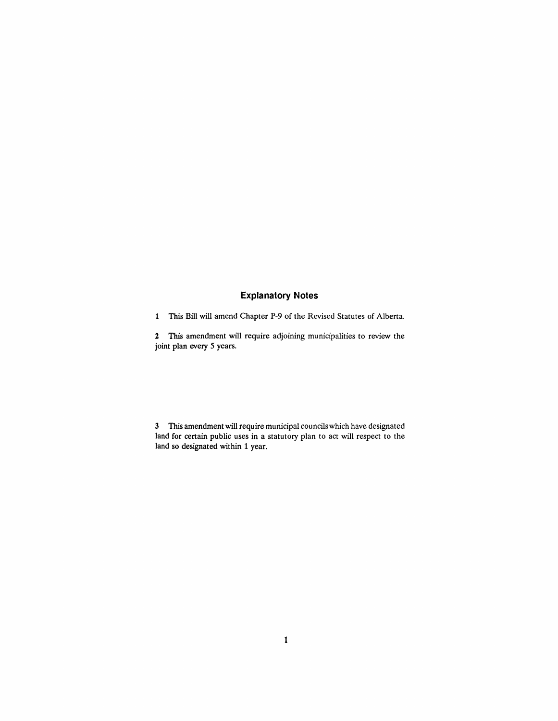## **Explanatory Notes**

1 This Bill will amend Chapter P-9 of the Revised Statutes of Alberta.

2 This amendment will require adjoining municipalities to review the joint plan every 5 years.

3 This amendment will require municipal councilswhich have designated land for certain public uses in a statutory plan to act will respect to the land so designated within 1 year.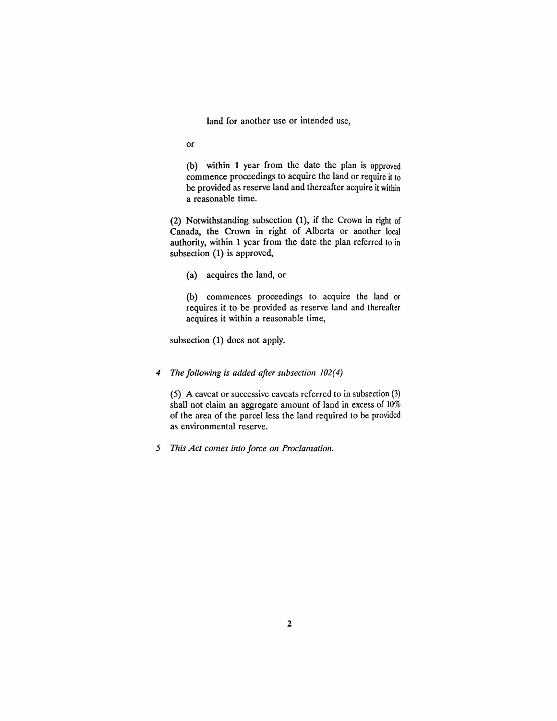land for another use or intended use,

or

(b) within 1 year from the date the plan is approved commence proceedings to acquire the land or require it to be provided as reserve land and thereafter acquire it within a reasonable time.

(2) Notwithstanding subsection (1), if the Crown in right of Canada, the Crown in right of Alberta or another local authority, within 1 year from the date the plan referred to in subsection (1) is approved,

(a) acquires the land, or

(b) commences proceedings to acquire the land or requires it to be provided as reserve land and thereafter acquires it within a reasonable time,

subsection (1) does not apply.

#### *4 The following is added after subsection 102(4)*

(5) A caveat or successive caveats referred to in subsection (3) shall not claim an aggregate amount of land in excess of 10% of the area of the parcel less the land required to be provided as environmental reserve.

*5 This Act comes into force on Proclamation.*